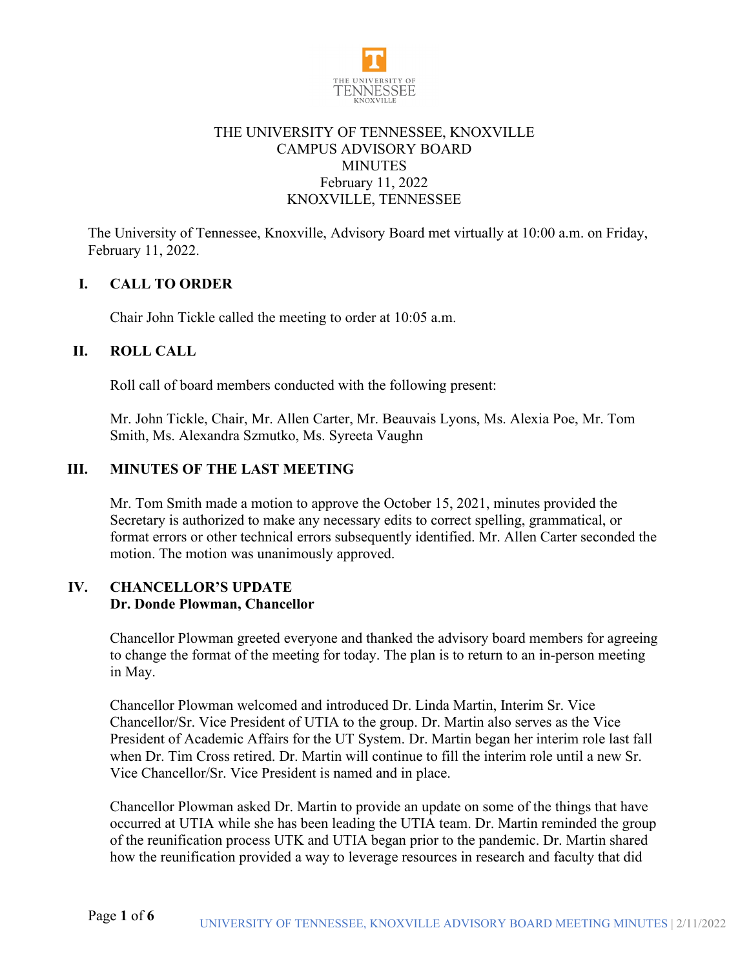

# THE UNIVERSITY OF TENNESSEE, KNOXVILLE CAMPUS ADVISORY BOARD **MINUTES** February 11, 2022 KNOXVILLE, TENNESSEE

The University of Tennessee, Knoxville, Advisory Board met virtually at 10:00 a.m. on Friday, February 11, 2022.

# **I. CALL TO ORDER**

Chair John Tickle called the meeting to order at 10:05 a.m.

### **II. ROLL CALL**

Roll call of board members conducted with the following present:

Mr. John Tickle, Chair, Mr. Allen Carter, Mr. Beauvais Lyons, Ms. Alexia Poe, Mr. Tom Smith, Ms. Alexandra Szmutko, Ms. Syreeta Vaughn

## **III. MINUTES OF THE LAST MEETING**

Mr. Tom Smith made a motion to approve the October 15, 2021, minutes provided the Secretary is authorized to make any necessary edits to correct spelling, grammatical, or format errors or other technical errors subsequently identified. Mr. Allen Carter seconded the motion. The motion was unanimously approved.

### **IV. CHANCELLOR'S UPDATE Dr. Donde Plowman, Chancellor**

Chancellor Plowman greeted everyone and thanked the advisory board members for agreeing to change the format of the meeting for today. The plan is to return to an in-person meeting in May.

Chancellor Plowman welcomed and introduced Dr. Linda Martin, Interim Sr. Vice Chancellor/Sr. Vice President of UTIA to the group. Dr. Martin also serves as the Vice President of Academic Affairs for the UT System. Dr. Martin began her interim role last fall when Dr. Tim Cross retired. Dr. Martin will continue to fill the interim role until a new Sr. Vice Chancellor/Sr. Vice President is named and in place.

Chancellor Plowman asked Dr. Martin to provide an update on some of the things that have occurred at UTIA while she has been leading the UTIA team. Dr. Martin reminded the group of the reunification process UTK and UTIA began prior to the pandemic. Dr. Martin shared how the reunification provided a way to leverage resources in research and faculty that did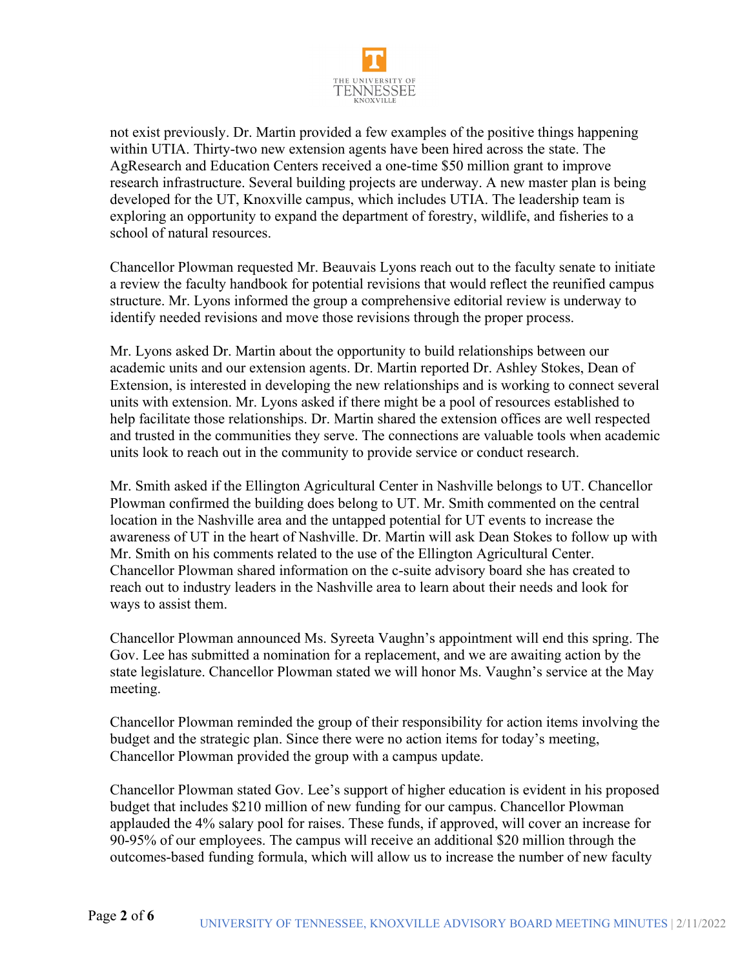

not exist previously. Dr. Martin provided a few examples of the positive things happening within UTIA. Thirty-two new extension agents have been hired across the state. The AgResearch and Education Centers received a one-time \$50 million grant to improve research infrastructure. Several building projects are underway. A new master plan is being developed for the UT, Knoxville campus, which includes UTIA. The leadership team is exploring an opportunity to expand the department of forestry, wildlife, and fisheries to a school of natural resources.

Chancellor Plowman requested Mr. Beauvais Lyons reach out to the faculty senate to initiate a review the faculty handbook for potential revisions that would reflect the reunified campus structure. Mr. Lyons informed the group a comprehensive editorial review is underway to identify needed revisions and move those revisions through the proper process.

Mr. Lyons asked Dr. Martin about the opportunity to build relationships between our academic units and our extension agents. Dr. Martin reported Dr. Ashley Stokes, Dean of Extension, is interested in developing the new relationships and is working to connect several units with extension. Mr. Lyons asked if there might be a pool of resources established to help facilitate those relationships. Dr. Martin shared the extension offices are well respected and trusted in the communities they serve. The connections are valuable tools when academic units look to reach out in the community to provide service or conduct research.

Mr. Smith asked if the Ellington Agricultural Center in Nashville belongs to UT. Chancellor Plowman confirmed the building does belong to UT. Mr. Smith commented on the central location in the Nashville area and the untapped potential for UT events to increase the awareness of UT in the heart of Nashville. Dr. Martin will ask Dean Stokes to follow up with Mr. Smith on his comments related to the use of the Ellington Agricultural Center. Chancellor Plowman shared information on the c-suite advisory board she has created to reach out to industry leaders in the Nashville area to learn about their needs and look for ways to assist them.

Chancellor Plowman announced Ms. Syreeta Vaughn's appointment will end this spring. The Gov. Lee has submitted a nomination for a replacement, and we are awaiting action by the state legislature. Chancellor Plowman stated we will honor Ms. Vaughn's service at the May meeting.

Chancellor Plowman reminded the group of their responsibility for action items involving the budget and the strategic plan. Since there were no action items for today's meeting, Chancellor Plowman provided the group with a campus update.

Chancellor Plowman stated Gov. Lee's support of higher education is evident in his proposed budget that includes \$210 million of new funding for our campus. Chancellor Plowman applauded the 4% salary pool for raises. These funds, if approved, will cover an increase for 90-95% of our employees. The campus will receive an additional \$20 million through the outcomes-based funding formula, which will allow us to increase the number of new faculty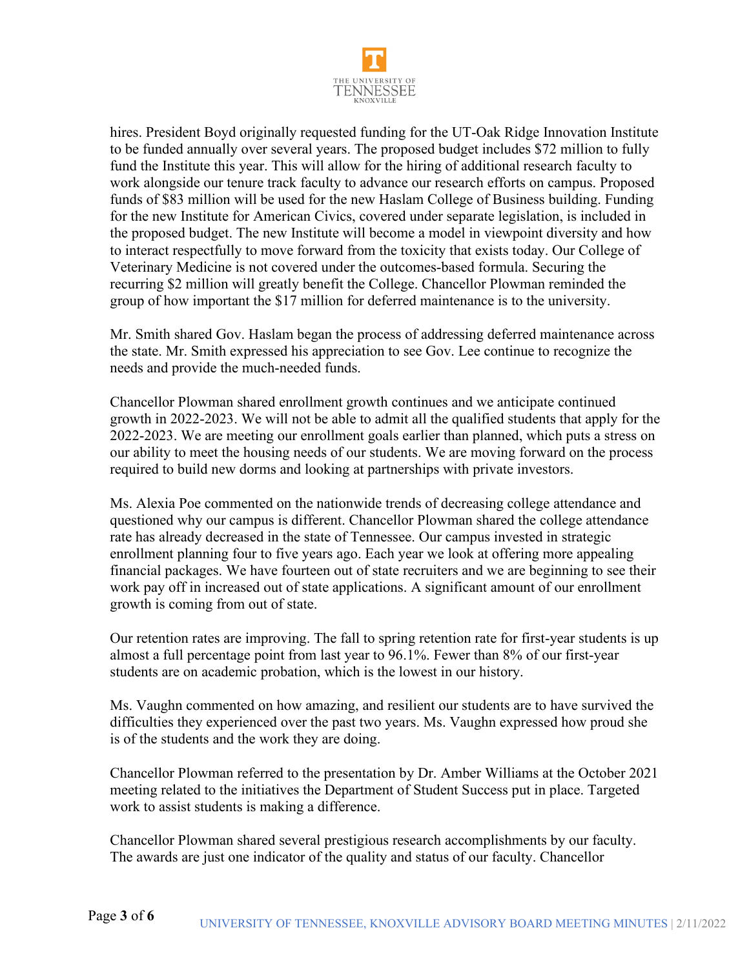

hires. President Boyd originally requested funding for the UT-Oak Ridge Innovation Institute to be funded annually over several years. The proposed budget includes \$72 million to fully fund the Institute this year. This will allow for the hiring of additional research faculty to work alongside our tenure track faculty to advance our research efforts on campus. Proposed funds of \$83 million will be used for the new Haslam College of Business building. Funding for the new Institute for American Civics, covered under separate legislation, is included in the proposed budget. The new Institute will become a model in viewpoint diversity and how to interact respectfully to move forward from the toxicity that exists today. Our College of Veterinary Medicine is not covered under the outcomes-based formula. Securing the recurring \$2 million will greatly benefit the College. Chancellor Plowman reminded the group of how important the \$17 million for deferred maintenance is to the university.

Mr. Smith shared Gov. Haslam began the process of addressing deferred maintenance across the state. Mr. Smith expressed his appreciation to see Gov. Lee continue to recognize the needs and provide the much-needed funds.

Chancellor Plowman shared enrollment growth continues and we anticipate continued growth in 2022-2023. We will not be able to admit all the qualified students that apply for the 2022-2023. We are meeting our enrollment goals earlier than planned, which puts a stress on our ability to meet the housing needs of our students. We are moving forward on the process required to build new dorms and looking at partnerships with private investors.

Ms. Alexia Poe commented on the nationwide trends of decreasing college attendance and questioned why our campus is different. Chancellor Plowman shared the college attendance rate has already decreased in the state of Tennessee. Our campus invested in strategic enrollment planning four to five years ago. Each year we look at offering more appealing financial packages. We have fourteen out of state recruiters and we are beginning to see their work pay off in increased out of state applications. A significant amount of our enrollment growth is coming from out of state.

Our retention rates are improving. The fall to spring retention rate for first-year students is up almost a full percentage point from last year to 96.1%. Fewer than 8% of our first-year students are on academic probation, which is the lowest in our history.

Ms. Vaughn commented on how amazing, and resilient our students are to have survived the difficulties they experienced over the past two years. Ms. Vaughn expressed how proud she is of the students and the work they are doing.

Chancellor Plowman referred to the presentation by Dr. Amber Williams at the October 2021 meeting related to the initiatives the Department of Student Success put in place. Targeted work to assist students is making a difference.

Chancellor Plowman shared several prestigious research accomplishments by our faculty. The awards are just one indicator of the quality and status of our faculty. Chancellor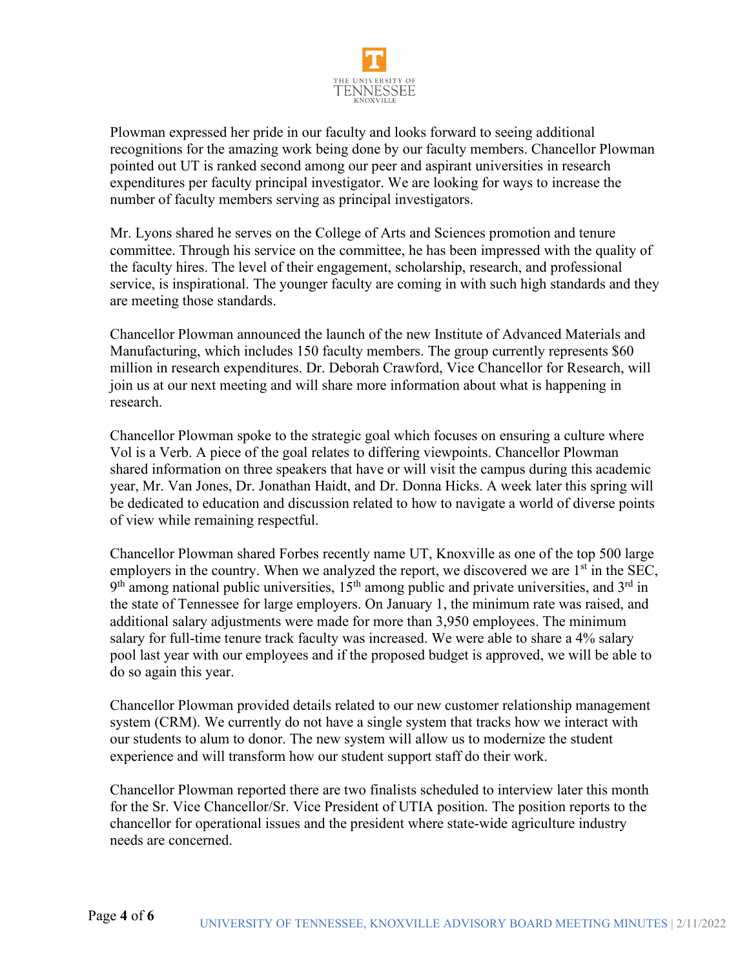

Plowman expressed her pride in our faculty and looks forward to seeing additional recognitions for the amazing work being done by our faculty members. Chancellor Plowman pointed out UT is ranked second among our peer and aspirant universities in research expenditures per faculty principal investigator. We are looking for ways to increase the number of faculty members serving as principal investigators.

Mr. Lyons shared he serves on the College of Arts and Sciences promotion and tenure committee. Through his service on the committee, he has been impressed with the quality of the faculty hires. The level of their engagement, scholarship, research, and professional service, is inspirational. The younger faculty are coming in with such high standards and they are meeting those standards.

Chancellor Plowman announced the launch of the new Institute of Advanced Materials and Manufacturing, which includes 150 faculty members. The group currently represents \$60 million in research expenditures. Dr. Deborah Crawford, Vice Chancellor for Research, will join us at our next meeting and will share more information about what is happening in research.

Chancellor Plowman spoke to the strategic goal which focuses on ensuring a culture where Vol is a Verb. A piece of the goal relates to differing viewpoints. Chancellor Plowman shared information on three speakers that have or will visit the campus during this academic year, Mr. Van Jones, Dr. Jonathan Haidt, and Dr. Donna Hicks. A week later this spring will be dedicated to education and discussion related to how to navigate a world of diverse points of view while remaining respectful.

Chancellor Plowman shared Forbes recently name UT, Knoxville as one of the top 500 large employers in the country. When we analyzed the report, we discovered we are  $1<sup>st</sup>$  in the SEC,  $9<sup>th</sup>$  among national public universities,  $15<sup>th</sup>$  among public and private universities, and  $3<sup>rd</sup>$  in the state of Tennessee for large employers. On January 1, the minimum rate was raised, and additional salary adjustments were made for more than 3,950 employees. The minimum salary for full-time tenure track faculty was increased. We were able to share a 4% salary pool last year with our employees and if the proposed budget is approved, we will be able to do so again this year.

Chancellor Plowman provided details related to our new customer relationship management system (CRM). We currently do not have a single system that tracks how we interact with our students to alum to donor. The new system will allow us to modernize the student experience and will transform how our student support staff do their work.

Chancellor Plowman reported there are two finalists scheduled to interview later this month for the Sr. Vice Chancellor/Sr. Vice President of UTIA position. The position reports to the chancellor for operational issues and the president where state-wide agriculture industry needs are concerned.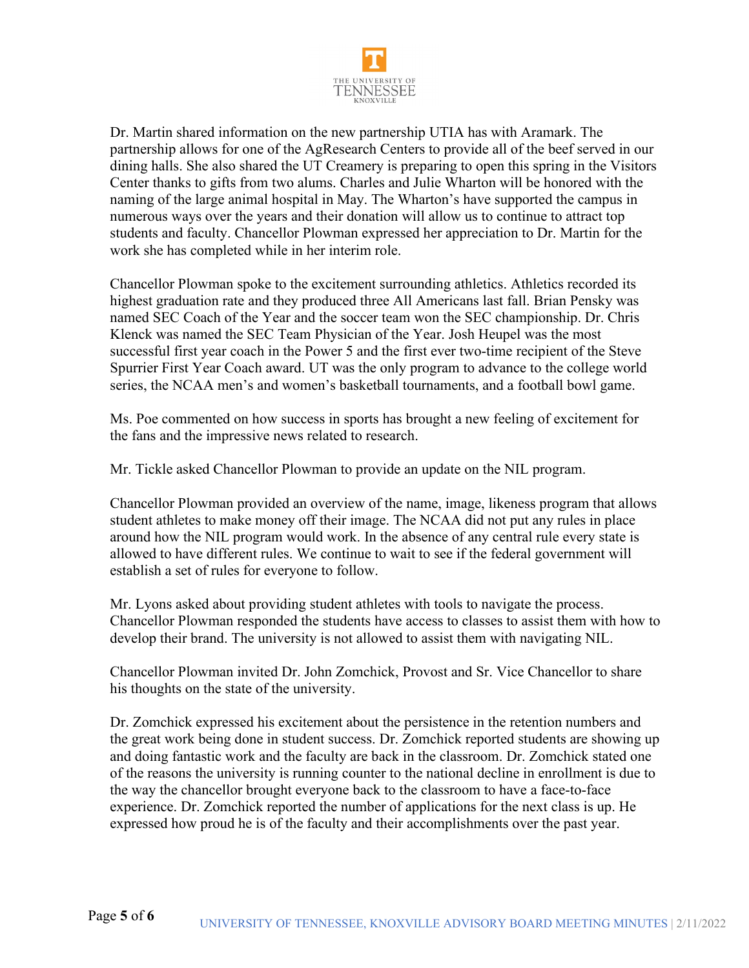

Dr. Martin shared information on the new partnership UTIA has with Aramark. The partnership allows for one of the AgResearch Centers to provide all of the beef served in our dining halls. She also shared the UT Creamery is preparing to open this spring in the Visitors Center thanks to gifts from two alums. Charles and Julie Wharton will be honored with the naming of the large animal hospital in May. The Wharton's have supported the campus in numerous ways over the years and their donation will allow us to continue to attract top students and faculty. Chancellor Plowman expressed her appreciation to Dr. Martin for the work she has completed while in her interim role.

Chancellor Plowman spoke to the excitement surrounding athletics. Athletics recorded its highest graduation rate and they produced three All Americans last fall. Brian Pensky was named SEC Coach of the Year and the soccer team won the SEC championship. Dr. Chris Klenck was named the SEC Team Physician of the Year. Josh Heupel was the most successful first year coach in the Power 5 and the first ever two-time recipient of the Steve Spurrier First Year Coach award. UT was the only program to advance to the college world series, the NCAA men's and women's basketball tournaments, and a football bowl game.

Ms. Poe commented on how success in sports has brought a new feeling of excitement for the fans and the impressive news related to research.

Mr. Tickle asked Chancellor Plowman to provide an update on the NIL program.

Chancellor Plowman provided an overview of the name, image, likeness program that allows student athletes to make money off their image. The NCAA did not put any rules in place around how the NIL program would work. In the absence of any central rule every state is allowed to have different rules. We continue to wait to see if the federal government will establish a set of rules for everyone to follow.

Mr. Lyons asked about providing student athletes with tools to navigate the process. Chancellor Plowman responded the students have access to classes to assist them with how to develop their brand. The university is not allowed to assist them with navigating NIL.

Chancellor Plowman invited Dr. John Zomchick, Provost and Sr. Vice Chancellor to share his thoughts on the state of the university.

Dr. Zomchick expressed his excitement about the persistence in the retention numbers and the great work being done in student success. Dr. Zomchick reported students are showing up and doing fantastic work and the faculty are back in the classroom. Dr. Zomchick stated one of the reasons the university is running counter to the national decline in enrollment is due to the way the chancellor brought everyone back to the classroom to have a face-to-face experience. Dr. Zomchick reported the number of applications for the next class is up. He expressed how proud he is of the faculty and their accomplishments over the past year.